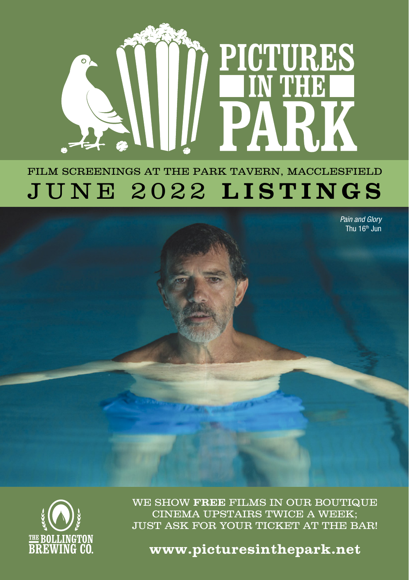

# FILM SCREENINGS AT THE PARK TAVERN, MACCLESFIELD JUNE 2022 **LISTINGS**

*Pain and Glory* Thu 16<sup>th</sup> Jun



WE SHOW **FREE** FILMS IN OUR BOUTIQUE CINEMA UPSTAIRS TWICE A WEEK; JUST ASK FOR YOUR TICKET AT THE BAR!

**www.picturesinthepark.net**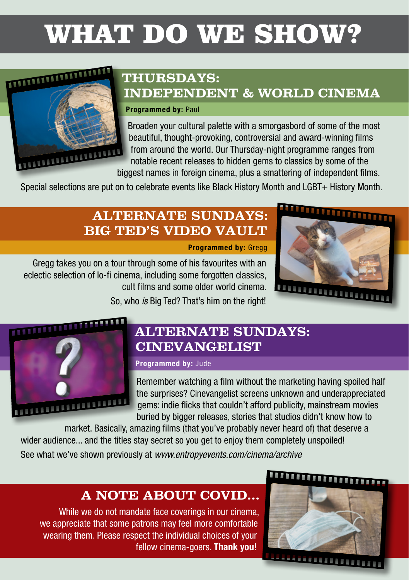# WHAT DO WE SHOW?

### **THURSDAYS: INDEPENDENT & WORLD CINEMA**

#### Programmed by: Paul

Broaden your cultural palette with a smorgasbord of some of the most beautiful, thought-provoking, controversial and award-winning films from around the world. Our Thursday-night programme ranges from notable recent releases to hidden gems to classics by some of the biggest names in foreign cinema, plus a smattering of independent films.<br>biggest names in foreign cinema, plus a smattering of independent films.

Special selections are put on to celebrate events like Black History Month and LGBT+ History Month.

### **ALTERNATE SUNDAYS: BIG TED'S VIDEO VAULT**

Programmed by: Gregg

Gregg takes you on a tour through some of his favourites with an eclectic selection of lo-fi cinema, including some forgotten classics, cult films and some older world cinema.



So, who *is* Big Ted? That's him on the right!



**THE REAL PROPERTY AND IN** 

### **ALTERNATE SUNDAYS: CINEVANGELIST**

### Programmed by: Jude

Remember watching a film without the marketing having spoiled half the surprises? Cinevangelist screens unknown and underappreciated gems: indie flicks that couldn't afford publicity, mainstream movies buried by bigger releases, stories that studios didn't know how to

market. Basically, amazing films (that you've probably never heard of) that deserve a wider audience... and the titles stay secret so you get to enjoy them completely unspoiled! See what we've shown previously at *www.entropyevents.com/cinema/archive*

### **A NOTE ABOUT COVID...**

While we do not mandate face coverings in our cinema. we appreciate that some patrons may feel more comfortable wearing them. Please respect the individual choices of your fellow cinema-goers. Thank you!

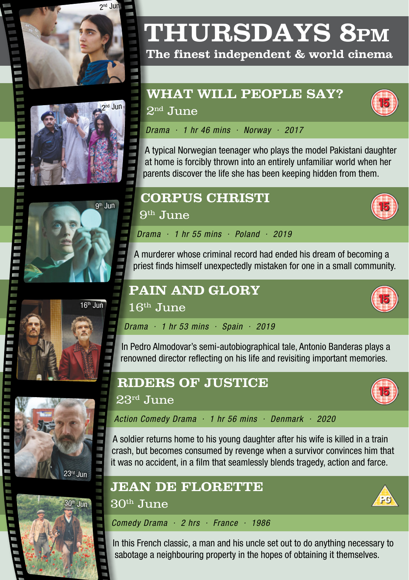





### **The finest independent & world cinema**

### **WHAT WILL PEOPLE SAY?**



 $2<sup>nd</sup>$  June

*Drama · 1 hr 46 mins · Norway · 2017*

A typical Norwegian teenager who plays the model Pakistani daughter at home is forcibly thrown into an entirely unfamiliar world when her parents discover the life she has been keeping hidden from them.



# **CORPUS CHRISTI**

 $9<sup>th</sup>$  June

16th June

*Drama · 1 hr 55 mins · Poland · 2019*

A murderer whose criminal record had ended his dream of becoming a priest finds himself unexpectedly mistaken for one in a small community.

# $16<sup>th</sup>$  Jun





# renowned director reflecting on his life and revisiting important memories.

**PAIN AND GLORY**

*Drama · 1 hr 53 mins · Spain · 2019*





### 23rd June

*Action Comedy Drama · 1 hr 56 mins · Denmark · 2020*

A soldier returns home to his young daughter after his wife is killed in a train crash, but becomes consumed by revenge when a survivor convinces him that it was no accident, in a film that seamlessly blends tragedy, action and farce.

In Pedro Almodovar's semi-autobiographical tale, Antonio Banderas plays a

### **JEAN DE FLORETTE**

30th June

*Comedy Drama · 2 hrs · France · 1986*

In this French classic, a man and his uncle set out to do anything necessary to sabotage a neighbouring property in the hopes of obtaining it themselves.